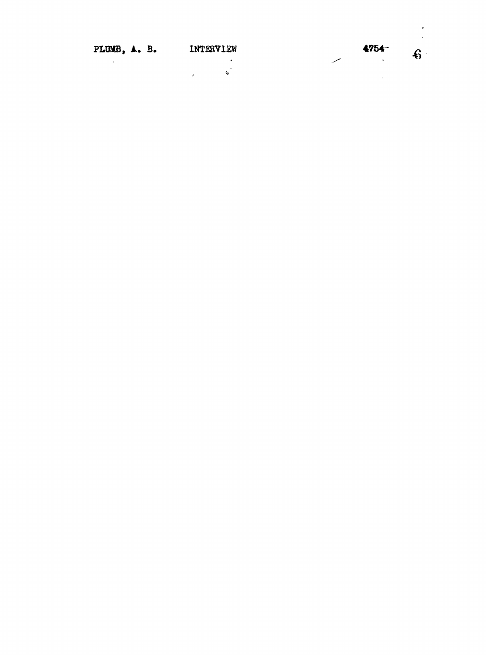| PLUMB, A. B. | INTERVIEW | 4754~   |  |
|--------------|-----------|---------|--|
|              |           | $\cdot$ |  |
|              |           |         |  |

 $\ddot{\phantom{0}}$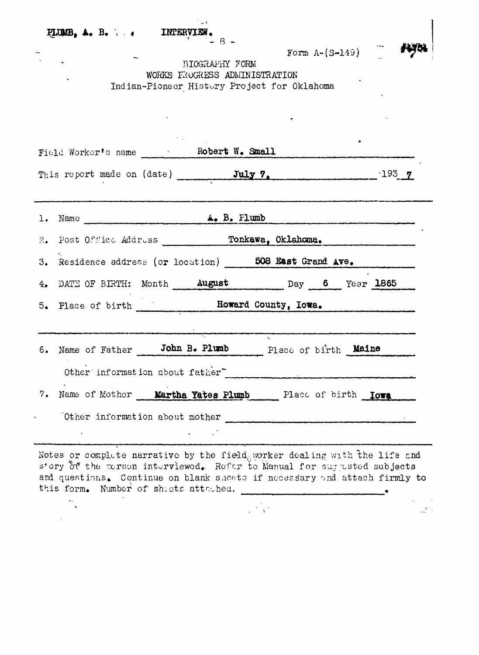|    | <b>FLUMB, A. B.</b> $\cdot$ ( INTERVIEW.<br>BIOGRAPHY FORM                    | $Form A-(S-149)$                                                                                                                                                                                                                   |
|----|-------------------------------------------------------------------------------|------------------------------------------------------------------------------------------------------------------------------------------------------------------------------------------------------------------------------------|
|    | WORKS EROGRESS ADMINISTRATION                                                 |                                                                                                                                                                                                                                    |
|    | Indian-Pioneer History Project for Oklahoma                                   |                                                                                                                                                                                                                                    |
|    |                                                                               |                                                                                                                                                                                                                                    |
|    |                                                                               |                                                                                                                                                                                                                                    |
|    |                                                                               |                                                                                                                                                                                                                                    |
|    |                                                                               | This report made on (date) July 7. 193 7                                                                                                                                                                                           |
|    |                                                                               |                                                                                                                                                                                                                                    |
|    |                                                                               |                                                                                                                                                                                                                                    |
|    |                                                                               |                                                                                                                                                                                                                                    |
|    | 2. Post Office Address Tonkawa, Oklahoma.                                     |                                                                                                                                                                                                                                    |
|    |                                                                               | 3. Residence address (or location) 508 East Grand Ave.                                                                                                                                                                             |
|    | 4. DATE OF BIRTH: Month <b>August</b> Day 6 Year 1865                         |                                                                                                                                                                                                                                    |
|    |                                                                               |                                                                                                                                                                                                                                    |
|    |                                                                               |                                                                                                                                                                                                                                    |
|    |                                                                               |                                                                                                                                                                                                                                    |
|    | 6. Name of Father John B. Plumb                                               | Place of birth <b>Maine</b>                                                                                                                                                                                                        |
|    | Other information about father                                                |                                                                                                                                                                                                                                    |
| 7. | Name of Mother Martha Yates Plumb Place of birth Lows                         |                                                                                                                                                                                                                                    |
|    |                                                                               |                                                                                                                                                                                                                                    |
|    | Other information about mother<br>$\mathbf{A} = \mathbf{A} \times \mathbf{A}$ |                                                                                                                                                                                                                                    |
|    |                                                                               |                                                                                                                                                                                                                                    |
|    |                                                                               | Notes or complete narrative by the field, worker dealing with the life and<br>s'ory of the person interviewed. Refer to Manual for suggested subjects<br>and questions. Continue on blank sheets if necessary and attach firmly to |
|    | this form. Number of shiets attached.                                         |                                                                                                                                                                                                                                    |
|    |                                                                               | $\mathcal{X}$                                                                                                                                                                                                                      |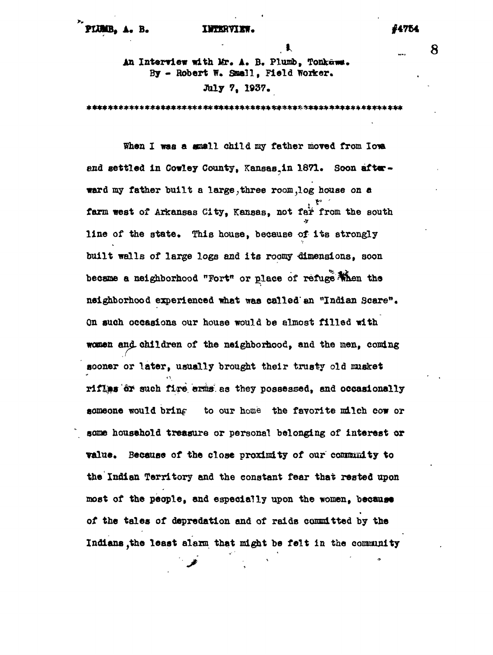**> ... 8** An Interview with Mr. A. B. Plumb, Tonkawa. **By - Robert W. Snail, Field Worker. July 7, 1937.**

**When I was a email child my fether moved from lore end settled in Cowley County, Kansas^in 1871. Soon after\* nerd my father built a large,three room^log house on e** i<br>11 p.e **farm vest of Arkansas City, Kansas, not t&t from the south** line of the state. This house, because of its strongly built walls of large logs and its roomy dimensions, soon became a neighborhood "Fort" or place of refuge when the neighborhood experienced what was called an "Indian Scare". On such occasions our house would be almost filled with women and children of the neighborhood, and the men, coming sooner or later, usually brought their trusty old musket riflas or such fire arms as they possessed, and occasionally someone would bring to our home the favorite milch cow or some housshold treasure or personal belonging of interest or value. Because of the close proximity of our community to the Indian Territory and the constant fear that rested upon most of the people, and especially upon the women, because of the tales of depredation and of raids committed by the Indians, the least alarm that might be felt in the community

**Indians ,the least alarm that might be felt in the cotozauiity**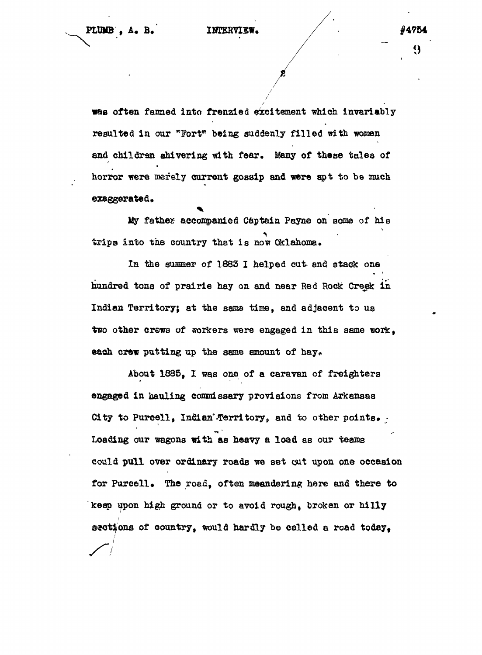often fanned into frenzied excitement which invariably resulted in our "Fort" being suddenly filled with women and children shivering with fear. Many of these tales of horror were merely current gossip and were spt to be much exsggerated.

My father accompanied Captain Payne on some of his trips into the country that is now Oklahoma.

In the summer of 1883 I helped cut- and stack one hundred tona of prairie hay on and near Red Rock: Greek in Indian Territory; at the same time, and adjacent to us two other crews of workers were engaged in this same work. each crew putting up the same amount of hay.

About 1885, I was one of a caravan of freighters engaged in hauling commissary provisions from Arkansas City to Purcell, Indian Territory, and to other points. -Loading our wagons with as heavy a load as our teams could pull over ordinary roads we set cut upon one occasion for Purcell. The road, often meandering here and there to keep upon high ground or to avoid rough, broken or hilly sections of country, would hardly be called a road today.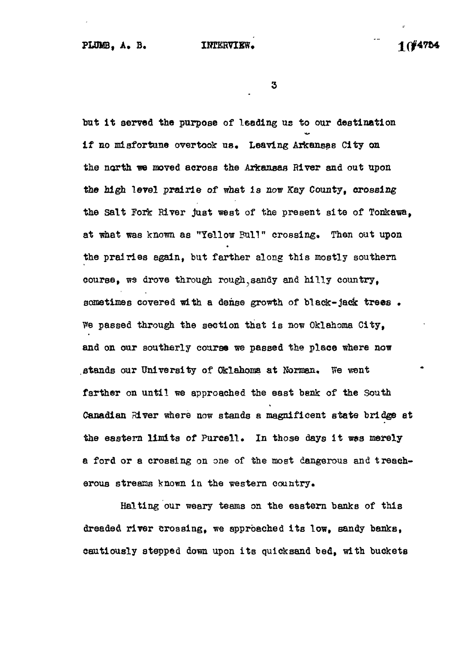$\bf{3}$ 

but it served the purpose of leading us to our destination i f no misfortune overtook us. Leaving Arkansas City on the north we moved across the Arkansas River and out upon the high level prairie of what is now Kay County, crossing the Salt Fork River just west of the present site of Tonkawa, at what was known as "Yellow Bull" crossing. Then out upon the prairies again, but farther along this mostly southern course, we drove through rough sandy and hilly country, sometimes covered with a dense growth of black-jack trees. ?»e passed through the section that is now Oklahoma City, and on our southerly course we passed the place where now stands our University of Oklahoma at Norman. We went farther on until we approached the east bank of the South Canadian River where now stands a magnificent state bridge at the eastern limits of Purcell. In those days it was merely a ford or a crossing on one of the most dangerous and treacherous streams known in the western country.

Halting our weary teams on the eastern banks of this dreaded river crossing, we approached its low, sandy banks, cautiously stepped down upon its quicksand bed, with buckets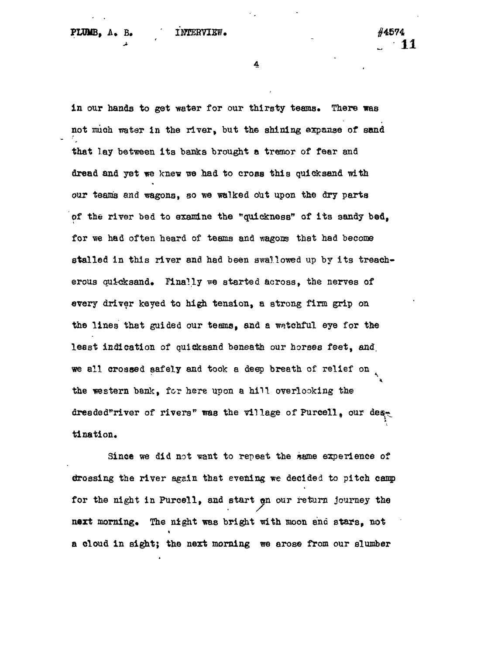in our hands to get water for our thirsty teams. There was not much water in the river, but the shining expanse of sand that lay between its banks brought a tremor of fear and dread and yet we knew we had to cross this quicksand with our teams and wagons, so we walked out upon the dry parts of the river bed to examine the "quickness" of its sandy bed, for we had often heard of teams and wagons that had become stalled in this river and had been swallowed up by its treacherous quicksand. Finally we started across, the nerves of every driver keyed to high tension, a strong firm grip on the lines that guided our teams, end a watchful eye for the least indication of quicksand beneath our horses feet, and. we all crossed safely and took a deep breath of relief on the western bank, for here upon a hill overlooking the dreaded"river of rivers" was the village of Purcell, our deset tination.

Since we did not want to repeat the *kerne* experience of drossing the river again that evening we decided to pitch camp for the night in Purcell, and start on our return journey the next morning. The night was bright with moon and stars, not a cloud in sight; the next morning we arose from our slumber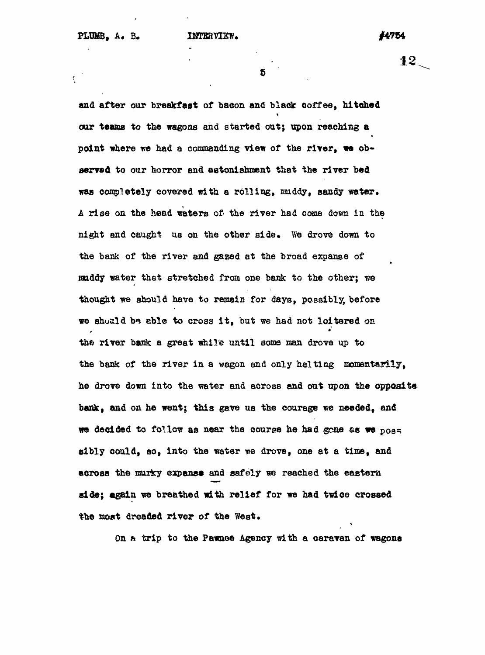$\sum_{i=1}^{n}$ 

12.

5

and after our breakfast of bacon and black coffee, hitched our teams to the wagons and started out; upon reaching a point where we had a commanding view of the river, we observed to our horror and astonishment that the river bed was completely covered with a rolling, muddy, sandy water. A rise on the head waters of the river had come down in the night and caught us on the other side. We drove down to the bank of the river and gazed at the broad expanse of muddy water that stretched from one bank to the other; we thought we should have to remain for days, possibly, before we should be able to cross it, but we had not loitered on the river bank a great while until some man drove up to the bank of the river in a wagon and only halting momentarily, he drove down into the water and across and out upon the opposite bank, and on he went; this gave us the courage we needed, and we decided to follow as near the course he had gone as we poss sibly could, so, into the water we drove, one at a time, and across the murky expanse and safely we reached the eastern side; again we breathed with relief for we had twice crossed the most dreaded river of the West.

On a trip to the Pawnee Agency with a caravan of wagons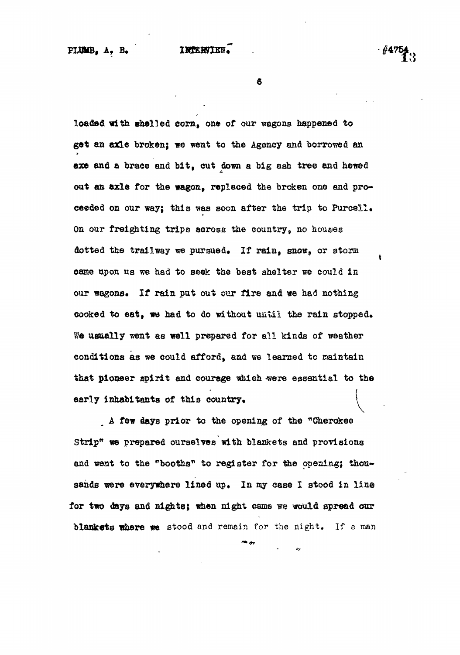**e**

loaded with shelled corn, one of our wagons happened to get an axle broken; we went to the Agency and borrowed an axe and a brace and bit, cut down a big ash tree and hewed out an axle for the wagon, replaced the broken one and proceeded on our way; this was soon after the trip to Purcell. On our freighting trips across the country, no houses dotted the trailway we pursued. If rain, snow, or atorm came upon us we had to seek the best shelter we could in our wagons. If rain put out our fire and we had nothing cooked to eat, we had to do without until the rain stopped. We usually went as well prepared for all kinds of weather conditions as we could afford, and we learned to maintain that pioneer apirit and courage which were essential to the that pioneer spirit and courage which  $\mathcal{A}$  is the essential to the essential to the essential to the essential to the essential to the essential to the essential to the essential to the essential to the essential to t

A few days prior to the opening of the "Cherokee  $A = \frac{1}{\sqrt{2\pi}} \int_{0}^{\infty} \frac{1}{\sqrt{2\pi}} \, e^{-\frac{1}{2} \left( \frac{1}{2} \right)} \, e^{-\frac{1}{2} \left( \frac{1}{2} \right)} \, e^{-\frac{1}{2} \left( \frac{1}{2} \right)} \, e^{-\frac{1}{2} \left( \frac{1}{2} \right)} \, e^{-\frac{1}{2} \left( \frac{1}{2} \right)} \, e^{-\frac{1}{2} \left( \frac{1}{2} \right)} \, e^{-\frac{1}{2} \left( \frac{1}{2} \right)} \, e^{-\frac{1}{2} \left( \frac$ Strip<sup>1</sup> and we need to the total to the total to the opening; the opening; the opening; though  $\alpha$ for two days and nights; when nights; when  $\sigma$  is  $\sigma$  is  $\sigma$  is  $\sigma$  is  $\sigma$  is  $\sigma$  is  $\sigma$  is  $\sigma$  is  $\sigma$  is  $\sigma$ 

 $\mathcal{L}$  and remain for the night. If a manifold and remain for the night. If a manifold  $\mathcal{L}$  a manifold  $\mathcal{L}$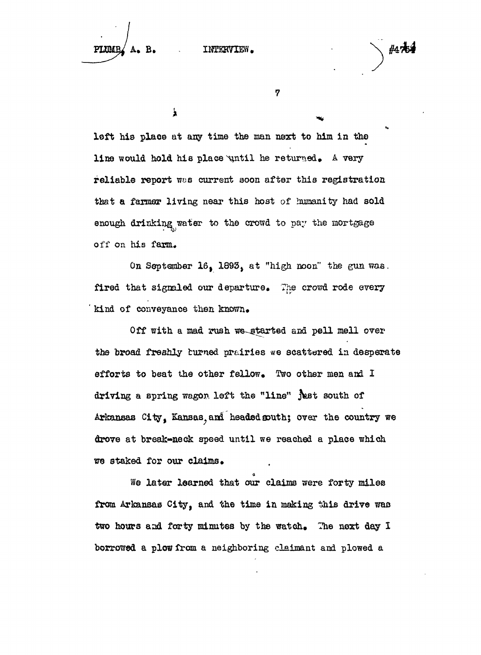**A. B.**

INTERVIEW.

7

 $\lambda$ 

left his place at any time the man next to him in the line would hold his place until he returned. A very reliable report was current soon after this registration that a farmer living near this host of humanity had sold enough drinking water to the crowd to pay the mortgage off on his farm.

On September 16, 1893, at "high noon" the gun was. fired that signaled our departure. The crowd rode every kind of conveyance then known.

Off with a mad rush we started and pell mell over the broad freshly turned prairies «e scattered in desperate efforts to beat the other fellow. Two other men and I driving a spring wagon left the "line" just south of Arkansas City, Kansas, and headed south; over the country we drove at break-neck speed until we reached a place which *"m* staked for our claims.

We later learned that our claims were forty miles from Arkansas City, and the time in making this drive was two hours and forty minutes by the watch. The next day I borrowed a plow from a neighboring claimant and plowed a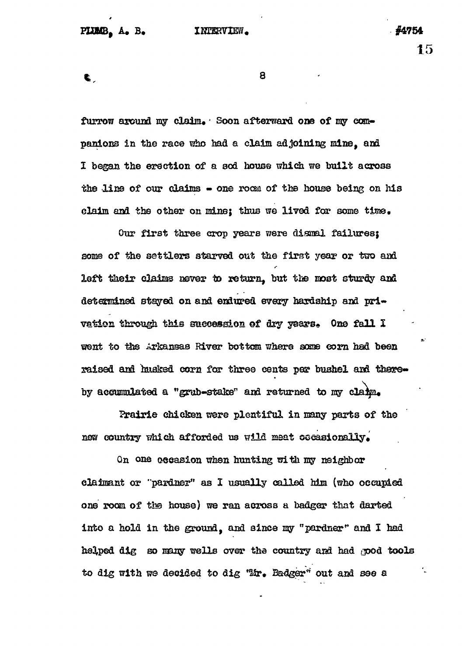**fc** 8

furrow around my claim. Soon afterward one of my companions in the race who had a claim adjoining mine, and I began the erection of a sod house which we built across the line of our claims - one room of the house being on his

claim and the other on mine; thus we lived for some time.

Our first three crop years were dismal failures; some of the settlers starved out the first year or two and left their claims never to return, but the most sturdy and determined stayed on and endured every hardship and privation through this succession of dry years. One fall I went to the Arkansas River bottom where some corn had been raised and husked corn for three cents par bushel and thereby accumulated a "grub-stake" and returned to my claim.

Prairie chicken were plentiful in many parts of the new country which afforded us wild meat occasionally.

On one aecasion when hunting with my neighbor claimant or "pardaer" as I usually called him (who occupied one room of the house) we ran across a badger that darted into a hold in the ground, and since my "pardner" and I had helped dig so many wells over the country and had good tools to dig with we decided to dig "Mr. Badger" out and see a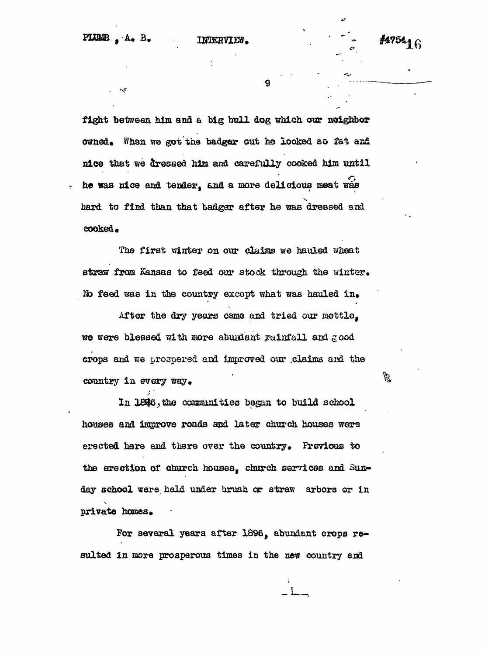#475416

fight between him and a big bull dog which our neighbor owned. When we got the badger out he looked so fat and nice that we dressed him and carefully cooked him until he was nice and tender, and a more delicious meat was hard to find than that tadger after he was dressed and cooked.

The first winter on our claims we hauled wheat straw from Kansas to feed our stock through the winter. No feed was in the country except what was hauled in.

After the dry years came and tried our mettle. we were blessed with more abundant rainfall and  $\epsilon$  ood crops and we prospered and improved our claims and the country in every way.

In 1846, the communities began to build school liouses aM improve roads asd later church houses wers erected here and there over the country. Previous to the erection of church houses. Church services and Sunday school were held under brush or straw arbors or in private homes.

For several years after 1896, abundant crops resulted in more prosperous times in the new country and

答